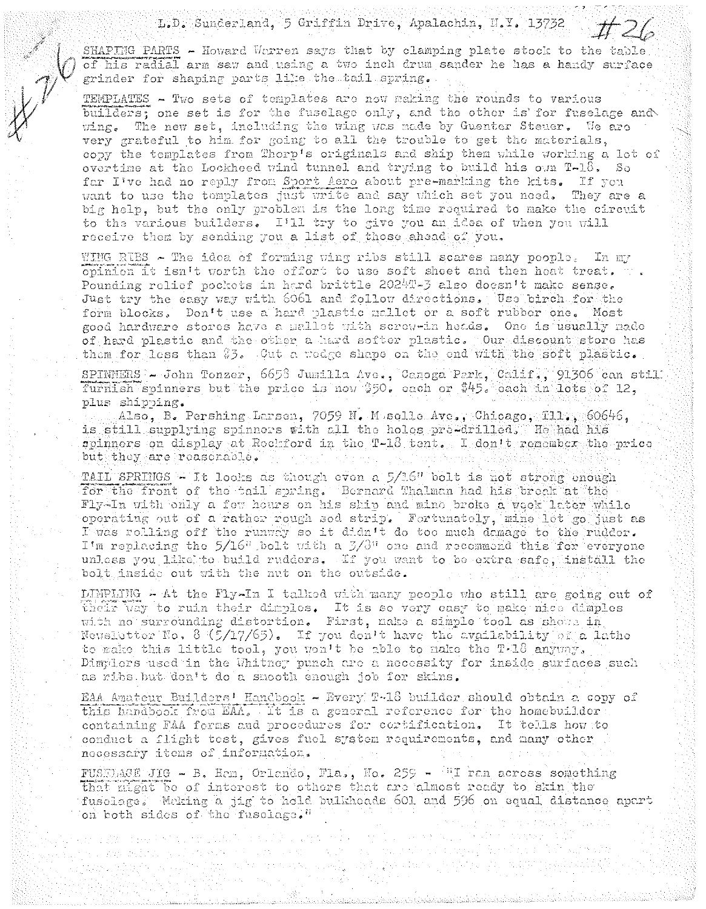L.D. Sunderland, 5 Griffin Drive, Apalachin, N.Y. 13732

SHAPING PARTS - Howard Warren says that by clamping plate stock to the table of his radial arm saw and using a two inch drum sander he has a handy surface grinder for shaping parts like the tail spring.

TEMPLATES - Two sets of templates are now making the rounds to various builders; one set is for the fuselage only, and the other is for fuselage and wing. The new set, including the wing was made by Guenter Steuer. We are very grateful to him for going to all the trouble to get the materials, copy the templates from Thorp's originals and ship them while working a lot of overtime at the Lockheed wind tunnel and trying to build his own T-18, So far I've had no reply from Sport Aero about pre-marking the kits. If you want to use the templates just write and say which set you need. They are a big help, but the only problem is the long time required to make the circuit to the various builders. I'll try to give you an idea of when you will receive them by sending you a list of those ahead of you.

WING RIES - The idea of forming wing ribs still scares many people. In my opinion it isn't worth the effort to use soft shoet and then heat treat.  $\forall$ . Pounding relief pockets in hard brittle 2024T-3 also doesn't make sense. Just try the easy way with 6061 and follow directions. Use birch for the form blocks. Don't use a hard plastic mallet or a soft rubber one. Most good hardware stores have a mallet with screw-in heads. One is usually made of hard plastic and the other a hard softer plastic. Our discount store has them for less than \$3. Cut a wodge shape on the end with the soft plastic.

SPINNERS - John Tonzer, 6658 Jumilla Ave., Canoga Park, Calif., 91306 can still furnish spinners but the price is now \$50. each or \$45. each in lots of 12. plus shipping.

 $AIso, B$ . Pershing Larsen, 7059 N. Muselle Ave., Chicago, Tll., 60646, is still supplying spinners with all the holes pre-drilled. He had his spinners on display at Rockford in the T-18 tent. I don't remember the price but they are reasonable.

TAIL SPRINGS - It looks as though even a 5/1.6" bolt is not strong enough for the front of the bail spring. Bernard Thalman had his break at the Fly-In with only a few hours on his ship and mine broke a week later while operating out of a rather rough sod strip. Fortunately, mine let go just as I was rolling off the runway so it didn't do too much damage to the rudder. I'm replacing the 5/16" bolt with a 3/3" one and recommend this for everyone unless you like to build rudders. If you want to be extra safe, install the bolt inside out with the nut on the outside.

LIMPLING - At the Fly-In I talked with many people who still are going out of their way to ruin their dimples. It is so very easy to make nice dimples with no surrounding distortion. First, nake a simple tool as shown in Newsletter No. 8 (5/17/65). If you don't have the availability of a lathe to make this little tool, you won't be able to make the T.18 anyway. Dimplers used in the Whitney punch are a necessity for inside surfaces such as ribs but don't do a smooth enough job for skins.

EAA Amateur Builders' Handbook - Every T-18 builder should obtain a copy of this handbook frou EAA. It is a general reference for the homebuilder: containing FAA forms and procedures for cortification. It tells how to conduct a flight test, gives fuel system requirements, and many other necessary items of information.

FUSTLACE JIG - B. Hem, Orlando, Fla., No. 259 - "I ran across something that night be of interest to others that are almost ready to skin the fuselare. Weking a jig to hold bulkhoads 601 and 596 on equal distance apart on both sides of the fuselage."

estes formigne

 $\mathcal{A}^{\mathcal{A}}_{\mathcal{A}}$  ,  $\mathcal{A}^{\mathcal{A}}_{\mathcal{A}}$  ,

ing a shekar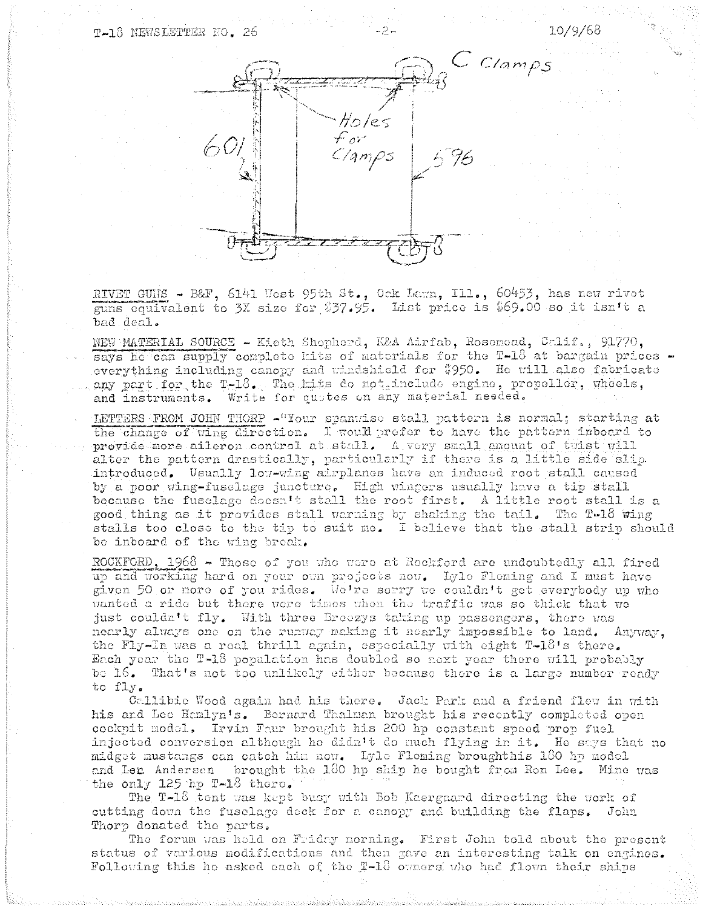## T-18 NEWSLETTER NO. 26



10/9/68

RIVET GUNS - B&F, 6141 West 95th St., Ock Lawn, Ill., 60453, has new rivet guns equivalent to 3X size for \$37.95. List price is \$69.00 so it isn't a bad deal.

NEW MATERIAL SOURCE - Kieth Shopherd, K&A Airfab, Rosenead, Calif., 91770, says he can supply complete kits of materials for the T-18 at bargain prices everything including canopy and windshield for \$950. He will also fabricate any part for the T-18. The kits do not include engine, propeller, wheels, and instruments. Write for quotes on any material needed.

LETTERS FROM JOHN THORP - "Your spanwise stall pattern is normal; starting at the change of wing direction. I would prefer to have the pattern inboard to provide more aileron control at stall. A very small amount of twist will alter the pattern drastically, particularly if there is a little side slip. introduced. Usually low-wing airplanes have an induced root stall caused by a noor wing-fusclage juncture. High wingers usually have a tip stall because the fuselage doesn't stall the root first. A little root stall is a good thing as it provides stall warning by shaking the tail. The T-18 wing stalls too close to the tip to suit me. I believe that the stall strip should be inboard of the wing break.

ROCKFORD,  $1968$  - Those of you who were at Reckford are undoubtedly all fired up and working hard on your own projects now. Lyle Fleming and I must have given 50 or more of you rides. We're serry we couldn't get everybody up who wanted a ride but there were times when the traffic was so thick that we just couldn't fly. With three Broozys taking up passengers, there was nearly always one on the runway making it nearly impossible to land. Anyway, the Fly-In was a real thrill again, especially with eight T-18's there. Each year the T-18 population has doubled so next year there will probably be 16. That's not too unlikely either because there is a large number ready to fly.

Callibie Wood again had his there. Jack Park and a friend flew in with his and Lee Hamlyn's. Bernard Thalman brought his recently completed open cockpit model. Irvin Faur brought his 200 hp constant speed prop fuel injected conversion although he didn't do much flying in it. He says that no midget mustangs can catch him now. Lyle Fleming broughthis 180 hp model and Len Andersen brought the 180 hp ship he bought from Ron Lee. Mine was the only  $125$  hp  $T-18$  there.

The T-18 tent was kept busy with Bob Kaergaard directing the work of cutting down the fusclage deck for a canopy and building the flaps. John Thorp donated the parts.

The forum was hold on Friday norming. First John told about the present status of various modifications and then gave an interesting talk on engines. Following this he asked each of the T-18 cumers who had flown their ships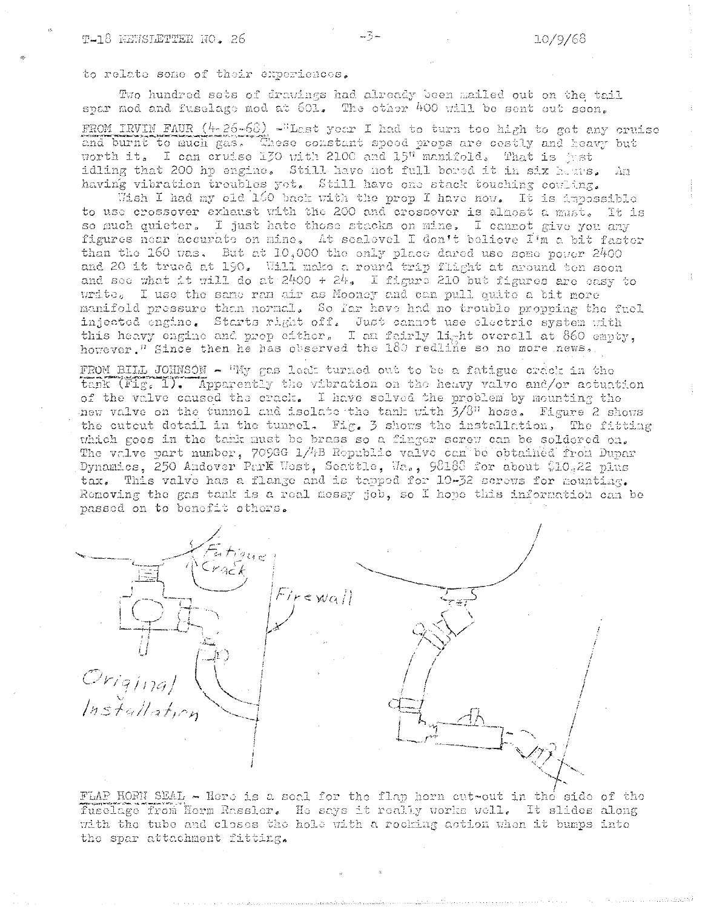## to relate some of their experiences.

Two hundred sets of drawings had already been mailed out on the tail spar mod and fuselage mod at 601. The other 400 will be sent out seen.

FROM IRVIN FAUR  $(4-26-68)$  -"Last year I had to turn too high to got any cruise and burnt to much gas. These constant speed props are costly and heavy but worth it. I can cruise 130 with 2100 and 15" manifold. That is gust idling that 200 hp engine. Still have not full bored it in six here.  $\Delta \Sigma 1$ having vibration troubles yet. Still have one stack touching cowling.

Wish I had my old 160 back with the prop I have now. It is impossible to use crossover exhaust with the 200 and crossover is almost a must. It is so much quieter. I just hate those stacks on mine. I cannot give you any figures near accurate on mine, At sealevel I don't believe I'm a bit faster than the 160 was. But at  $10,000$  the only place dared use some power 2400 and 20 it trued at 190. Will make a round trip flight at around ton soon and see what it will do at  $2400 + 24$ . I figure 210 but figures are easy to write. I use the same ran air as Mooney and can pull quite a bit more manifold pressure than normal. So far have had no trouble propping the fuel injected engine. Starts right off. Just cannot use electric system with this heavy engine and prop either, I am fairly light overall at 860 empty, however.<sup>1</sup> Since then he has observed the 180 redline so no more news.

FROM BILL JOHNSON - "My gas leak turned out to be a fatigue crack in the tank (Fig. 1). Apparently the vibration on the heavy valve and/or actuation of the valve caused the crack. I have solved the problem by mounting the new valve on the tunnel and isolate the tank with  $3/8$ <sup>n</sup> hose. Figure 2 shows the cutcut detail in the tunnel. Fig. 3 shows the installation, The fitting which goes in the tark must be brass so a finger screw can be soldered on. The valve part number, 709GG 1/4B Republic valve can be obtained from Dupar Dynamics, 250 Andover Park West, Seattle, Wa., 98188 for about \$10.22 plus tax. This valve has a flange and is tapped for 10-32 screws for mounting. Removing the gas tank is a real messy job, so I hope this information can be passed on to benefit others.



FLAP HORN SEAL - Here is a seal for the flap horn cut-out in the side of the fuselage from Herm Rassler. He says it really works well. It slides along with the tube and closes the hole with a rocking action when it bumps into the spar attachment fitting.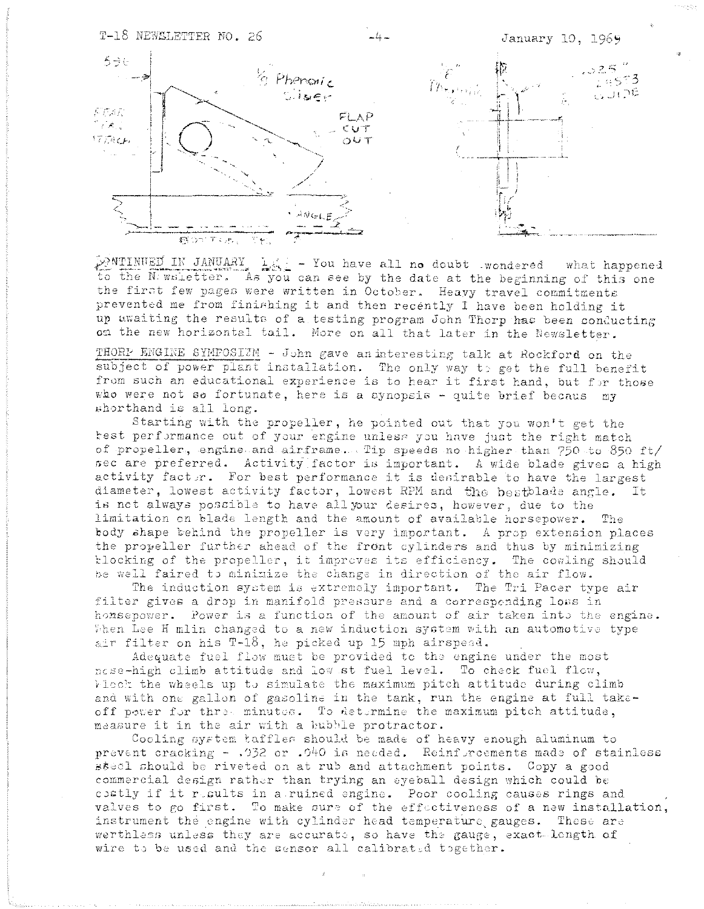

ANGLE

 $\frac{1}{2}$  - You have all no doubt wondered what happened PNTINUED IN JANUARY to the N: writetter. As you can see by the date at the beginning of this one the first few pages were written in October. Heavy travel commitments prevented me from finishing it and then recently I have been holding it up awaiting the results of a testing program John Thorp has been conducting on the new horizontal tail. More on all that later in the Newsletter.

THORP ENGINE SYMPOSIZM - John gave an interesting talk at Rockford on the subject of power plant installation. The only way to get the full benefit from such an educational experience is to hear it first hand, but for those who were not so fortunate, here is a synopsis - quite brief becaus my shorthand is all long.

Starting with the propeller, he pointed out that you won't get the kest performance out of your engine unless you have just the right match of propeller, engine and airframe. Tip speeds no higher than 750 to 850 ft/ sec are preferred. Activity factor is important. A wide blade gives a high activity factor. For best performance it is desirable to have the largest diameter, lowest activity factor, lowest RPM and the bestblade angle. It is not always possible to have all your desires, however, due to the limitation on blade length and the amount of available horsepower. The body shape behind the propeller is very important. A prop extension places the propeller further ahead of the front cylinders and thus by minimizing blocking of the propeller, it improves its efficiency. The cowling should be well faired to minimize the change in direction of the air flow.

The induction system is extremely important. The Tri Pacer type air filter gives a drop in manifold pressure and a corresponding loss in honsepower. Power is a function of the amount of air taken into the engine. When Lee H mlin changed to a new induction system with an automotive type air filter on his T-18, he picked up 15 mph airspead.

Adequate fuel flow must be provided to the engine under the most nese-high climb attitude and low st fuel level. To check fuel flow, Flock the wheels up to simulate the maximum pitch attitude during climb and with one gallon of gasoline in the tank, run the engine at full takeoff power for three minutes. To determine the maximum pitch attitude, measure it in the air with a bubble protractor.

Cooling system taffles should be made of heavy enough aluminum to prevent cracking - .032 or .040 is needed. Reinfurcements made of stainless sseel should be riveted on at rub and attachment points. Copy a good commercial design rather than trying an eyeball design which could be costly if it results in a ruined engine. Poor cooling causes rings and valves to go first. To make sure of the effectiveness of a new installation, instrument the engine with cylinder head temperature gauges. These are werthless unless they are accurate, so have the gauge, exact-length of wire to be used and the sensor all calibrated together.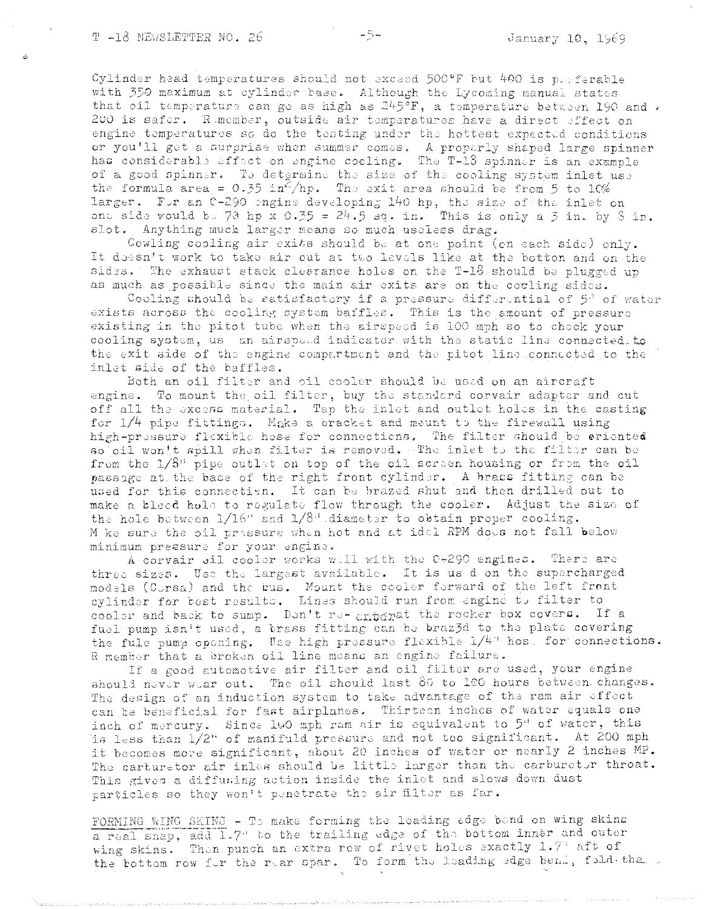Cylinder head temperatures should not exceed 500°F but 400 is preferable with 350 maximum at cylinder base. Although the Lycoming manual states that oil temperature can go as high as  $245^{\circ}F$ , a temperature between 190 and . 200 is safer. Rimember, outside air temperatures have a direct effect on engine temperatures so do the testing under the hottest expected conditions or you'll get a surprise when summer comes. A properly shaped large spinner has considerable effect on engine cooling. The T-18 spinner is an example of a good spinner. To detgrmine the size of the cooling system inlet use the formula area =  $0.35$  in /hp. The exit area should be from 5 to 10% larger. For an 0-290 onging developing 140 hp, the size of the inlet on one side would be 70 hp x 0.35 =  $24.5$  sq. in. This is only a 3 in. by 8 in. slot. Anything much larger means so much useless drag.

Cowling cooling air exits should be at one point (on each side) only. It doesn't work to take air out at two levels like at the botton and on the sides. The exhaust stack cleerance holes on the T-16 should be plugged up as much as possible since the main air exits are on the couling sides.

Cooling should be satisfactory if a pressure differential of  $5^{\circ}$  of water exists across the cooling system baffles. This is the amount of pressure existing in the pitot tube when the airspeed is 100 mph so to check your cooling system, us an airspeed indicator with the static line connected to the exit side of the engine compartment and the pitot line connected to the inlet side of the baffles.

Both an oil filter and oil cooler should be used on an aircraft. engine. To mount the oil filter, buy the standard corvair adapter and cut off all the excess material. Tap the inlet and outlet holes in the casting for  $1/4$  pipe fittings. Make a bracket and meunt to the firewall using high-pressure flexible hose for connections. The filter should be criented so oil won't spill when filter is removed, The inlet to the filter can be from the 1/8" pipe outlet on top of the oil screen housing or from the oil passage at the base of the right front cylinder. A bracs fitting can be used for this connection. It can be brazed shut and then drilled out to make a bleed hole to regulate flow through the cooler. Adjust the size of the hole between  $1/16$ " and  $1/8$ " diameter to obtain proper cooling. M ke sure the oil pressure when hot and at idel RPM does not fall below minimum pressure for your engine.

A corvair all cooler works will with the 0-290 engines. There are three sizes. Use the largest available. It is us d on the supercharged models (Corsa) and the bus. Mount the cooler forward of the left front cylinder for best results. Lines should run from engine to filter to cooler and back to sump. Don't re- enterat the rocker box covers. If a fuel pump isn't used, a brass fitting can be braz3d to the plate covering the fule pump opening. Use high pressure flexible 1/4" host for connections. R member that a broken oil line means an engine failure.

If a good automotive air filter and oil filter are used, your engine should never wear out. The oil should last 80 to 100 hours between changes. The design of an induction system to take advantage of the ram air effect can be beneficial for fast airplanes. Thirteen inches of water equals one inch of mercury. Since 100 mph ram air is equivalent to 5" of water, this is less than 1/2" of manifuld pressure and not too significant. At 200 mph it becomes more significant, about 20 inches of water or nearly 2 inches MP. The carturetor air inles should be little larger than the carburetor throat. This gives a diffuning action inside the inlet and slows down dust particles so they won't penetrate the air filter as far.

FORMING WING SKING - To make forming the leading edge bond on wing skins a real snap, add 1.7' to the trailing edge of the bottom inner and outer wing skins. Then punch an extra row of rivet holes exactly  $1.7$  aft of the bottom row for the rear spar. To form the leading edge bend, fold the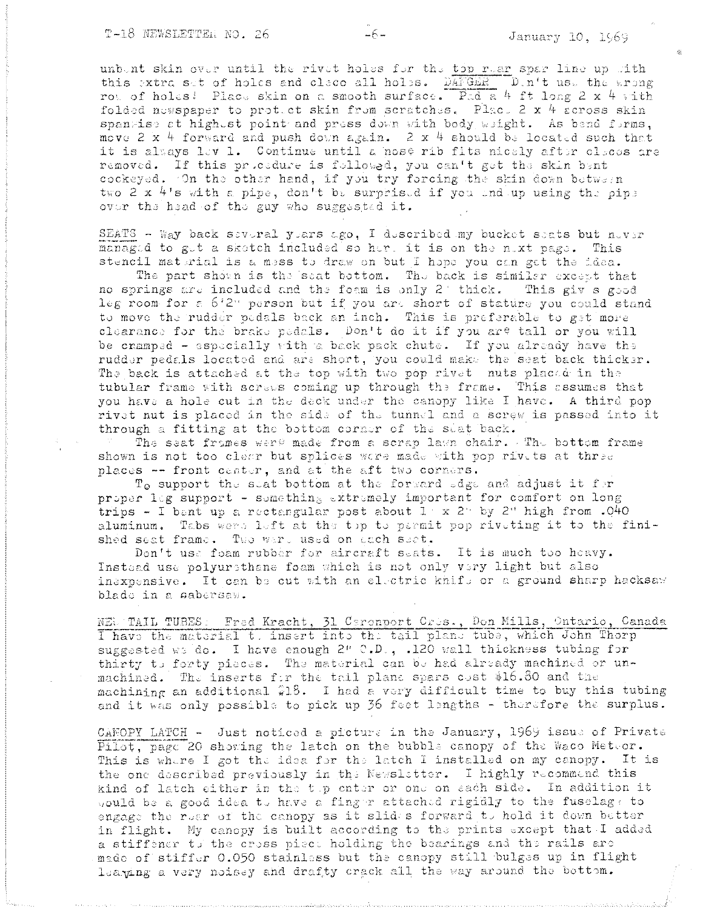unbent skin over until the rivet holes for the top rear spar line up with this extra set of holes and cleco all holes. DAFGER Din't use the wrong row of holes! Place skin on a smooth surface. Pad a 4 ft long 2 x 4 with folded newspaper to protect skin from scratches. Place 2 x 4 across skin spangise at highest point and press down with body weight. As bend forms, move 2 x 4 forward and push down again. 2 x 4 should be located such that it is always lov 1. Continue until a nose rib fits nicely after cleous are removed. If this procedure is followed, you can't get the skin bent cockeyed. On the other hand, if you try forcing the skin down between two 2 x 4's with a pipe, don't be surprised if you end up using the pipe over the head of the guy who suggested it.

 $-6-$ 

SEATS - Way back several years ago, I described my bucket seats but never managed to get a skotch included so her, it is on the next page. This stencil material is a mess to draw on but I hope you can get the idea.

The part shown is the seat bottom. The back is similar except that no springs are included and the foam is only 2' thick. This giv s good leg room for a 6'2" person but if you are short of stature you could stand to move the rudder pedals back an inch. This is preferable to get more clearance for the brake pedals. Don't do it if you are tall or you will be cramped - especially with a back pack chute. If you already have the rudder pedals located and are short, you could make the seat back thicker. The back is attached at the top with two pop rivet nuts placed in the tubular frame with screws coming up through the frame. This assumes that you have a hole cut in the deck under the canopy like I have. A third pop rivet nut is placed in the side of the tunnel and a screw is passed into it through a fitting at the bottom corner of the seat back.

The seat frames were made from a scrap lawn chair. The bottom frame shown is not too clear but splices were made with pop rivets at three places -- front center, and at the aft two corners.

 $T_0$  support the stat bottom at the forward edge and adjust it for proper log support - something extremely important for comfort on long trips - I bant up a rectangular post about  $1 + x$  2 by 2" high from .040 aluminum. Tabs were left at the top to parmit pop riveting it to the finished seat frame. Two were used on each seat.

Don't use foam rubber for aircraft seats. It is much too heavy. Instead use polyurethane foam which is not only very light but also inaxpensive. It can be cut with an electric khift or a ground sharp hacksaw blade in a sabersaw.

NEL TAIL TUBES: Fred Kracht, 31 Ceronport Cres., Don Mills, Ontario, Canada I have the material t, insert into the tail plane tube, which John Thorp suggested we do. I have enough 2" C.D., .120 wall thickness tubing for thirty to forty pieces. The material can be had already machined or unmachined. The inserts for the tail plane spars cost \$16.80 and the machining an additional \$18. I had a very difficult time to buy this tubing and it was only possible to pick up 36 feet lengths - therefore the surplus.

CANOPY LATCH - Just noticed a picture in the January, 1969 issue of Private Pilot, page 20 showing the latch on the bubble canopy of the Waco Meteor. This is where I got the idea for the latch I installed on my canopy. It is the one described previously in the Newsletter. I highly recommend this kind of latch either in the top enter or one on sach side. In addition it would be a good idea to have a finger attached rigidly to the fuselage to engage the rear of the canopy as it slides forward to hold it down better in flight. My canopy is built according to the prints except that I added a stiffener to the cross piect holding the bearings and the rails are made of stiffer 0.050 stainless but the canopy still bulges up in flight leaging a very noisey and drafty crack all the way around the bottom.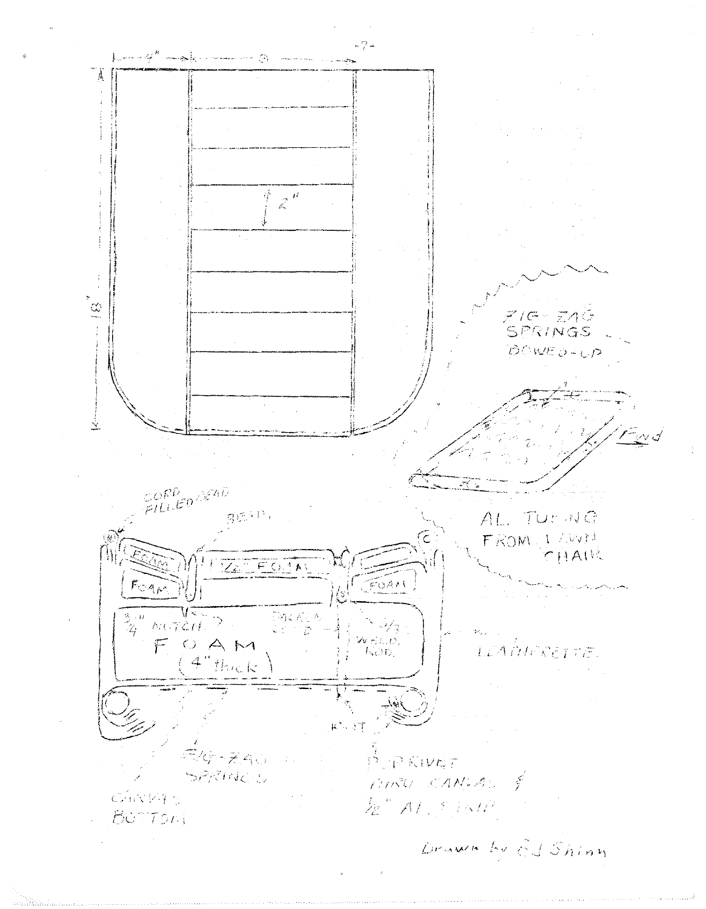$-7 L$  and  $\mathcal{A}^B$  complex construction  $\mathcal{D}_t$  , and an Á  $z^{\frac{1}{\mu}}$  $\tilde{\mathbb{R}}^*$ ZIG- ZAG<br>SPRINGS BOWED-UP  $\dot{\underline{\chi}}$ CORP<br>FILLED (SEAD)  $B\mathbb{R}^{4\mathbb{N}_+}$ AL. TUENG FROM LIVWN  $CHA\,1\%$ I ZET EOJAL TRACT  $F<sub>CA</sub>$  $\frac{1}{N}$  ( $\frac{N}{N}$ DACALA<br>Comp  $\frac{3}{4}$   $^{\prime\prime}$  $\mathbb{Z}/2$ WELL. FOAM LEATHERETTE. KOD.  $4"$ thick  $K^*$  and  $\overline{T}$ 第6-740  $P$   $P$   $N$   $V$   $C$   $T$  $\mathbb{C}[\zeta]$ SPRINCE MARU CANGAS & CAND46 E AL STATE  $B\ddot{o}$  Ton Drumm by Ed Shinn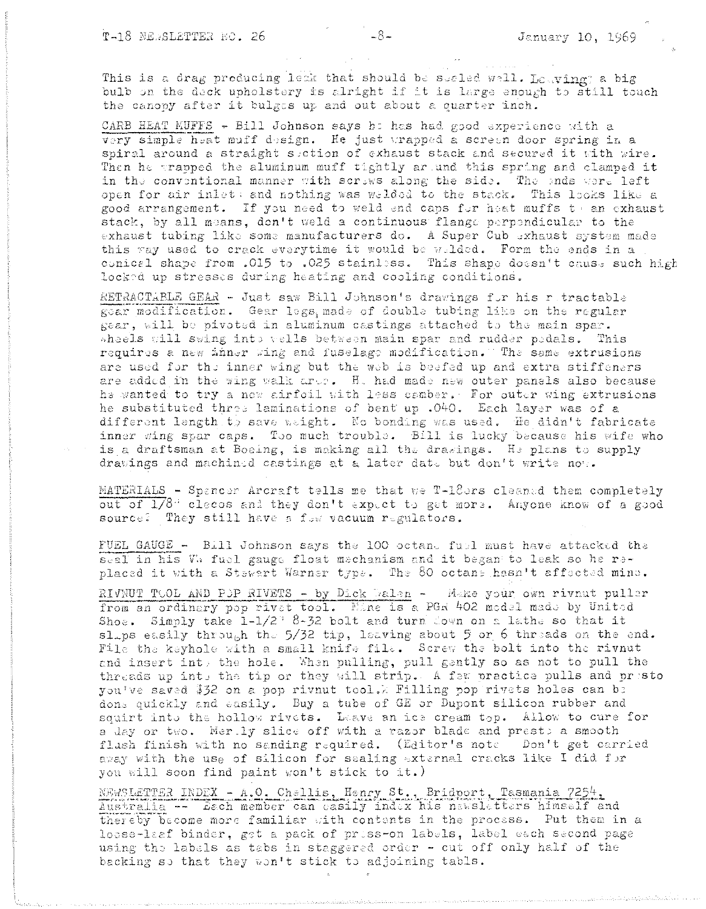This is a drag producing leak that should be seeled well. Lowing; a big bulb on the deck upholstery is alright if it is large enough to still touch the canopy after it bulges up and out about a quarter inch.

CARB HEAT MUFFS - Bill Johnson says ha has had good experience with a very simple heat muff design. He just wrapped a screen door spring in a spiral around a straight suction of exhaust stack and secured it with wire. Then he trapped the aluminum muff tightly artund this spring and clamped it in the conventional manner with scriws along the side. The ends were left open for air inlets and nothing was welded to the stack. This looks like a good arrangement. If you need to weld end caps for heat muffs to an exhaust stack, by all means, don't weld a continuous flange perpendicular to the exhaust tubing like some manufacturers do. A Super Cub exhaust system made this way used to crack everytime it would be welded. Form the ends in a conical shape from .015 to .025 stainless. This shape doesn't cause such high locked up stresses during heating and cooling conditions.

RETRACTABLE GEAR - Just saw Bill Johnson's drawings for his retractable gear modification. Gear legs, made of double tubing like on the regular gear, will be pivoted in aluminum castings attached to the main spar. wheels will swing into wells between main spar and rudder pedals. This requires a new inner wing and fuselage modification." The same extrusions are used for the inner wing but the web is beefed up and extra stiffeners are added in the wing walk are: H. had made new outer panels also because he wanted to try a new airfoil with less camber. For outer wing extrusions he substituted three laminations of bent up .040. Each layer was of a different length to save weight. No bonding was used. He didn't fabricate inner wing spar caps. Too much trouble. Bill is lucky because his wife who is a draftsman at Boeing, is making all the drawings. He plans to supply drawings and machined castings at a later date but don't write now.

MATERIALS - Spancer Arcraft tells me that we T-18ers cleaned them completely out of 1/8" clecos and they don't expect to get more. Anyone know of a good source? They still have a fow vacuum regulators.

FUEL GAUGE - Bill Johnson says the 100 octane fuel must have attacked the seal in his W. fuel gauge float mechanism and it began to leak so he replaced it with a Stewart Warner type. The 80 octans hasn't affected mine.

RIVNUT TOOL AND POP RIVETS - by Dick Dalen - Make your own rivnut puller from an ordinary pop rivet tool. Mine is a PGR 402 model made by United Shoe. Simply take  $1-1/2$  8-32 bolt and turn down on a lathe so that it slaps easily through the 5/32 tip, leaving about 5 or 6 threads on the end. File the keyhole with a small knife file. Screw the bolt into the rivnut and insert int, the hole. When pulling, pull gently so as not to pull the threads up into the tip or they will strip. A few practice pulls and presto you've saved \$32 on a pop rivnut tool. Filling pop rivets holes can be dons quickly and easily. Buy a tube of GE or Dupont silicon rubber and squirt into the hollow rivets. Leave an ice cream top. Allow to cure for a day or two. Mertly slice off with a razor blade and prests a smooth flush finish with no sanding required. (Editor's note Don't get carried away with the use of silicon for sealing external cracks like I did for you will soon find paint won't stick to it.)

NEWSLETTER INDEX - A.O. Challis, Henry St., Bridport, Tasmania 7254, Australia -- Lech member can casily index his nawsletters himself and thereby become more familiar with contents in the process. Put them in a losse-laaf binder, get a pack of priss-on labels, label each second page using the labels as tabs in staggered order - cut off only half of the backing so that they won't stick to adjoining tabls.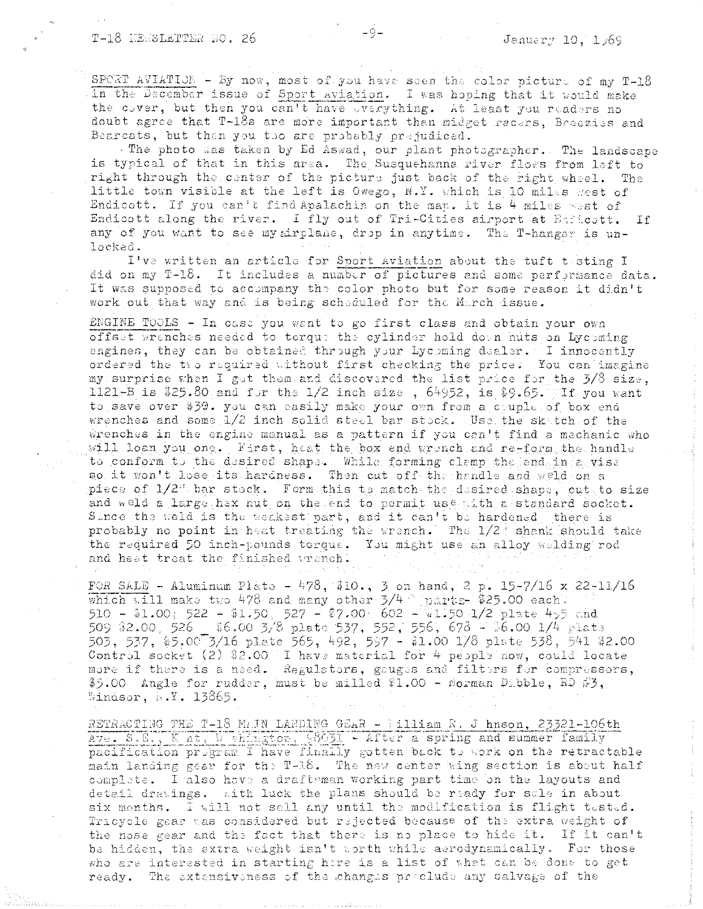SPORT AVIATION - By now, most of you have seen the color picture of my T-18 in the December issue of Sport aviation. I was hoping that it would make the cover, but then you can't have overything. At least you readers no doubt agree that T-18s are more important than midget recers. Breezies and Bearcats, but then you too are probably prejudiced.

The photo was taken by Ed Aswad, our plant photographer. The landscape is typical of that in this area. The Susquehanna river flows from left to right through the center of the picture just back of the right wheel. The little town visible at the left is Owego, N.Y. which is 10 miles gest of Endicott. If you can't find Apalachin on the man. it is 4 miles west of Endicott along the river. I fly out of Tri-Cities airport at Escheett. If any of you want to see my airplane, drop in anytime. The T-hangar is unlocked.

I've written an article for Sport Aviation about the tuft testing I did on my T-18. It includes a number of pictures and some performance data. It was supposed to accompany the color photo but for some reason it didn't work out that way and is being scheduled for the March issue.

ENGINE TOOLS - In case you want to go first class and obtain your own offset wrenches needed to torque the cylinder hold down nuts on Lyceming engines, they can be obtained through your Lycoming dealer. I innocently ordered the two required without first checking the price. You can imagine my surprise when I got them and discovered the list price for the 3/8 size. 1121-B is  $$25.80$  and for the 1/2 inch size, 64952, is  $$9.65.$  If you want to save over \$39. you can easily make your own from a couple of box end wrenches and some 1/2 inch solid steel bar stock. Use the skatch of the wrenches in the engine manual as a pattern if you can't find a mechanic who will loan you one. First, heat the box end wronch and re-form the handle to conform to the desired shape. While forming clemp the end in a vise so it won't lose its hardness. Then cut off the handle and weld on a piece of 1/2% bar stock. Form this to match the desired shape, cut to size and weld a large hax nut on the end to permit use with a standard socket. Since the weld is the weakest part, and it can't be hardened, there is probably no point in heat treating the wrench. The 1/2! shank should take the required 50 inch-pounds torque. You might use an alloy wilding rod and heat treat the finished wranch.

FOR SALE - Aluminum Plate - 478, \$10., 3 on hand, 2 p. 15-7/16 x 22-11/16 which will make two 478 and many other  $3/4$  parts-\$25.00 each. 509 \$2.00, 526 \_ \$6.00 3/8 plate 537, 552, 556, 678 - \$6.00 1/4 plate 503, 537, \$5.00 3/16 plate 565, 492, 597 - \$1.00 1/8 plate 538, 541 \$2.00 Control socket (2) \$2.00 I have material for 4 people now, could locate more if there is a need. Regulators, gauges and filters for compressors, \$5.00 Angle for rudder, must be milled \$1.00 - Morman Dabble, RD  $\#$ 3, Windsor,  $N. 13865.$ 

RETRACTING THE T-18 MAIN LANDING GEAR - William R. J hnson, 23321-106th Ave. S.E., Knt. Wehington, 98631 - After a spring and summer family pacification program I have finally gotten back to work on the retractable main landing gear for the T-18. The new center wing section is about half complate. I also have a draftsman working part time on the layouts and detail drawings. with luck the plans should be ready for sale in about six months. I will not sell any until the modification is flight tested. Tricycle gear was considered but rejected because of the extra weight of the nose gear and the fact that there is no place to hide it. If it can't be hidden, the extra weight isn't worth while aerodynamically. For those who are interested in starting here is a list of what can be done to get ready. The extensiveness of the changes proclude any salvage of the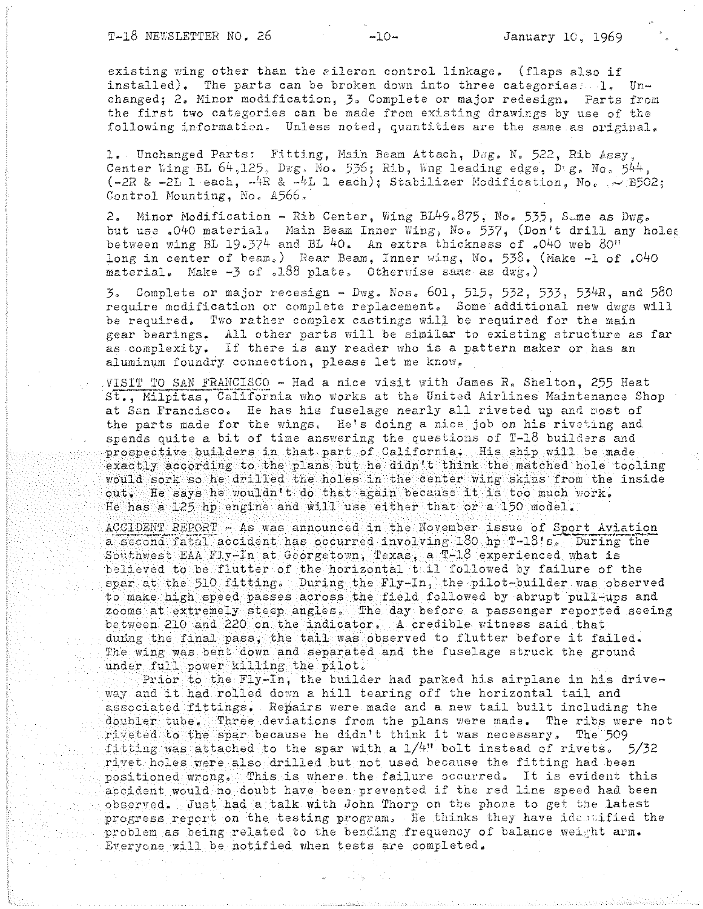existing wing other than the aileron control linkage. (flaps also if installed). The parts can be broken down into three categories: 1. Unchanged; 2. Minor modification, 3. Complete or major redesign. Parts from the first two categories can be made from existing drawings by use of the following information. Unless noted, quantities are the same as original.

1. Unchanged Parts: Fitting, Main Beam Attach. Dwg. N. 522. Rib Assy. Center Wing BL  $64.125$ . Dwg. No. 536; Rib. Wng leading edge. Dug. No. 544.  $(-2R \& -2L)$  each,  $-4R \& -4L$  leach); Stabilizer Modification, No.  $\sim$  B502; Control Mounting, No. 4566.

2. Minor Modification - Rib Center, Wing BL49.875, No. 535, Same as Dwg. but use .040 material. Main Beam Inner Wing, No. 537, (Don't drill any holes between wing BL 19.374 and BL 40. An extra thickness of .040 web 80" long in center of beam.) Rear Beam, Inner wing, No. 538. (Make -1 of .040 material. Make  $-3$  of .188 plate. Otherwise same as  $dw(x)$ 

3. Complete or major recesign - Dwg. Nos. 601, 515, 532, 533, 534R, and 580 require modification or complete replacement. Some additional new dwgs will be required. Two rather complex castings will be required for the main gear bearings. All other parts will be similar to existing structure as far as complexity. If there is any reader who is a pattern maker or has an aluminum foundry connection, please let me know.

VISIT TO SAN FRANCISCO - Had a nice visit with James R. Shelton, 255 Heat St., Milpitas, California who works at the United Airlines Maintenance Shop at San Francisco. He has his fuselage nearly all riveted up and most of the parts made for the wings. He's doing a nice job on his riveting and spends quite a bit of time answering the questions of T-18 builders and prospective builders in that part of California. His ship will be made exactly according to the plans but he didn't think the matched hole tooling would sork so he drilled the holes in the center wing skins from the inside out. He says he wouldn't do that again because it is too much work. He has a 125 hp engine and will use either that or a 150 model.

ACCIDENT REPORT - As was announced in the November issue of Sport Aviation a second fatal accident has occurred involving 180 hp T-18's. During the Southwest EAA Fly-In at Georgetown, Texas, a T-18 experienced what is believed to be flutter of the horizontal tail followed by failure of the spar at the 510 fitting. During the Fly-In, the pilot-builder was observed to make high speed passes across the field followed by abrupt pull-ups and zooms at extremely steep angles. The day before a passenger reported seeing between 210 and 220 on the indicator. A credible witness said that during the final pass, the tail was observed to flutter before it failed. The wing was bent down and separated and the fuselage struck the ground under full power killing the pilot.

Prior to the Fly-In, the builder had parked his airplane in his driveway and it had rolled down a hill tearing off the horizontal tail and associated fittings. Repairs were made and a new tail built including the doubler tube. Three deviations from the plans were made. The ribs were not riveted to the spar because he didn't think it was necessary. The 509 fitting was attached to the spar with a  $1/4$ " bolt instead of rivets. 5/32 rivet holes were also drilled but not used because the fitting had been positioned wrong. This is where the failure occurred. It is evident this accident would no doubt have been prevented if the red line speed had been observed. Just had a talk with John Thorp on the phone to get the latest progress report on the testing program. He thinks they have identified the problem as being related to the bending frequency of balance weight arm. Everyone will be notified when tests are completed.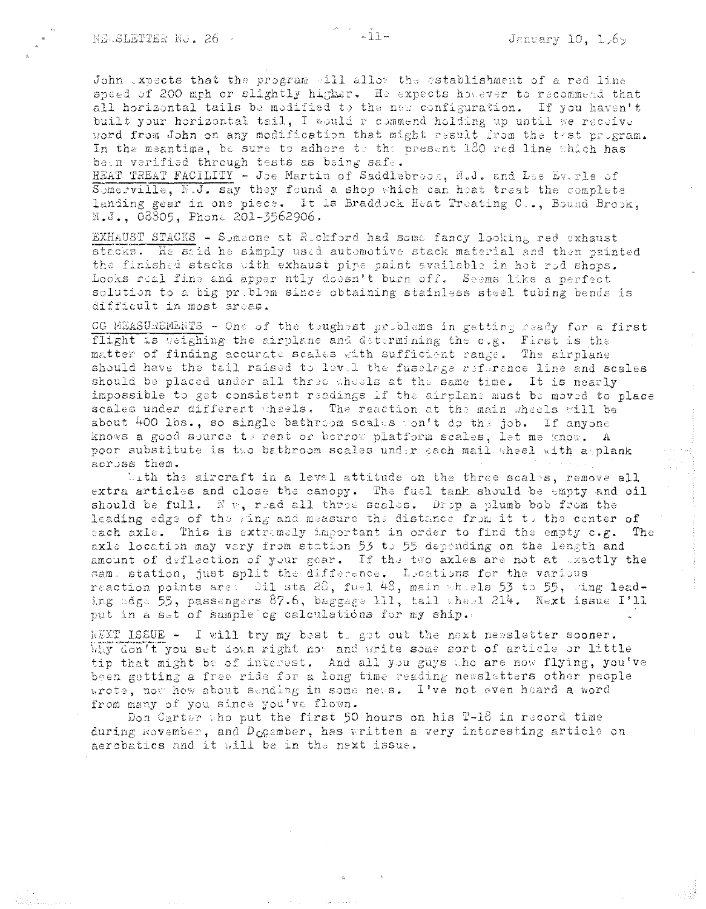John expects that the program will allow the establishment of a red line speed of 200 mph or slightly higher. He expects hovever to recommend that all horizontal tails be modified to the new configuration. If you haven't built your horizontal tail, I would recommend holding up until we receive word from John on any modification that might result from the test program. In the meantime, be sure to adhere to the present 180 red line which has been verified through tests as being safe.

HEAT TREAT FACILITY - Joe Martin of Saddlebroox, N.J. and Lee Everle of Sumerville, N.J. say they found a shop which can heat treat the complete landing gear in one piece. It is Braddock Heat Treating C.., Bound Brook, N.J., 08805, Phone 201-3562906.

EXHAUST STACKS - Someone at Rockford had some fancy looking red exhaust stacks. He said he simply used automotive stack material and then painted the finished stacks with exhaust pipe paint available in hot rod shops. Looks real fine and appar ntly doesn't burn off. Seems like a perfect solution to a big priblem since obtaining stainless steel tubing bends is difficult in most areas.

CG MEASUREMENTS - One of the toughest problems in getting ready for a first flight is weighing the airplane and determining the c.g. First is the matter of finding accurate scales with sufficient range. The airplane should have the tail raised to level the fuselage reference line and scales should be placed under all three sheels at the same time. It is nearly impossible to get consistent readings if the airplane must be moved to place scales under different wheels. The reaction at the main wheels will be about 400 lbs., so single bathroom scales won't do the job. If anyone knows a good source to rent or borrow platform scales, let me know. A poor substitute is two bathroom scales under each mail wheel with a plank across them.

kith the aircraft in a level attitude on the three scales, remove all extra articles and close the canopy. The fuel tank should be empty and oil should be full. N  $\psi$ , read all three scales. Drop a plumb bob from the leading edge of the wing and measure the distance from it to the center of each axle. This is extremely important in order to find the empty  $c.p.$  The axle location may vary from station 53 to 55 depending on the length and amount of deflection of your gear. If the two axles are not at uxactly the same station, just split the difference. Locations for the various reaction points are: Oil sta 28, fuel 48, main whichs 53 to 55, wing leading odge 55, passengers 87.6, baggage 111, tail wheel 214. Next issue I'll put in a set of sample cg calculations for my ship.

NEXT ISSUE - I will try my best to get out the next newsletter sooner. Why don't you set down right not and write some sort of article or little tip that might be of interest. And all you guys the are now flying, you've been getting a free ride for a long time reading newsletters other people wrote, now how about sending in some news. I've not even heard a word from many of you since you've flown.

Don Carter who put the first 50 hours on his T-18 in record time during November, and D<sub>CG</sub>ember, has written a very interesting article on aerobatics and it will be in the next issue.